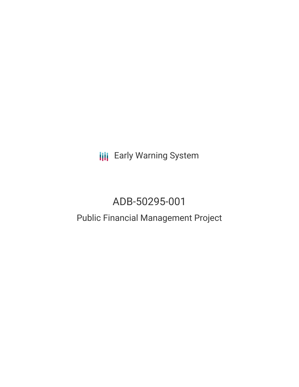**III** Early Warning System

# ADB-50295-001

## Public Financial Management Project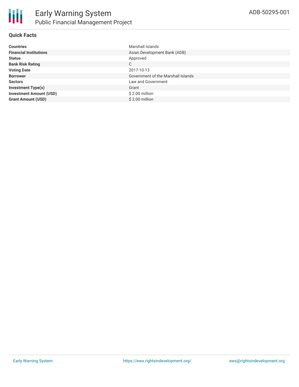

#### **Quick Facts**

| <b>Countries</b>               | Marshall Islands                   |
|--------------------------------|------------------------------------|
| <b>Financial Institutions</b>  | Asian Development Bank (ADB)       |
| <b>Status</b>                  | Approved                           |
| <b>Bank Risk Rating</b>        | C                                  |
| <b>Voting Date</b>             | 2017-10-13                         |
| <b>Borrower</b>                | Government of the Marshall Islands |
| <b>Sectors</b>                 | Law and Government                 |
| <b>Investment Type(s)</b>      | Grant                              |
| <b>Investment Amount (USD)</b> | \$2.00 million                     |
| <b>Grant Amount (USD)</b>      | \$2.00 million                     |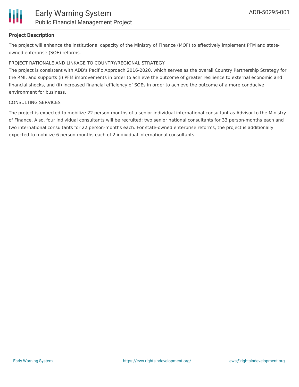

#### **Project Description**

The project will enhance the institutional capacity of the Ministry of Finance (MOF) to effectively implement PFM and stateowned enterprise (SOE) reforms.

#### PROJECT RATIONALE AND LINKAGE TO COUNTRY/REGIONAL STRATEGY

The project is consistent with ADB's Pacific Approach 2016-2020, which serves as the overall Country Partnership Strategy for the RMI, and supports (i) PFM improvements in order to achieve the outcome of greater resilience to external economic and financial shocks, and (ii) increased financial efficiency of SOEs in order to achieve the outcome of a more conducive environment for business.

#### CONSULTING SERVICES

The project is expected to mobilize 22 person-months of a senior individual international consultant as Advisor to the Ministry of Finance. Also, four individual consultants will be recruited: two senior national consultants for 33 person-months each and two international consultants for 22 person-months each. For state-owned enterprise reforms, the project is additionally expected to mobilize 6 person-months each of 2 individual international consultants.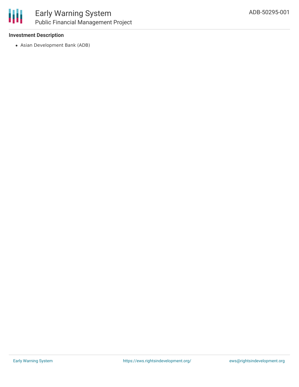

#### **Investment Description**

Asian Development Bank (ADB)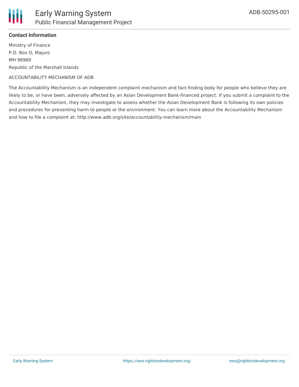

### **Contact Information**

Ministry of Finance P.O. Box D, Majuro MH 96960 Republic of the Marshall Islands

#### ACCOUNTABILITY MECHANISM OF ADB

The Accountability Mechanism is an independent complaint mechanism and fact-finding body for people who believe they are likely to be, or have been, adversely affected by an Asian Development Bank-financed project. If you submit a complaint to the Accountability Mechanism, they may investigate to assess whether the Asian Development Bank is following its own policies and procedures for preventing harm to people or the environment. You can learn more about the Accountability Mechanism and how to file a complaint at: http://www.adb.org/site/accountability-mechanism/main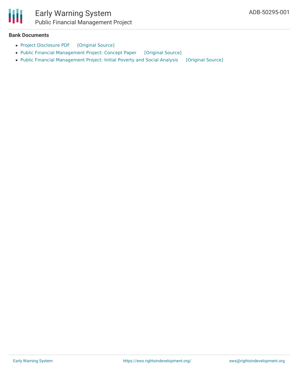

#### **Bank Documents**

- Project [Disclosure](https://ewsdata.rightsindevelopment.org/files/documents/01/ADB-50295-001.pdf) PDF [\[Original](https://www.adb.org/printpdf/projects/50295-001/main) Source]
- Public Financial [Management](https://ewsdata.rightsindevelopment.org/files/documents/01/ADB-50295-001_6H1RgzH.pdf) Project: Concept Paper [\[Original](https://www.adb.org/projects/documents/rmi-50295-001-cp) Source]
- Public Financial [Management](https://ewsdata.rightsindevelopment.org/files/documents/01/ADB-50295-001_6x9mncZ.pdf) Project: Initial Poverty and Social Analysis [\[Original](https://www.adb.org/projects/documents/rmi-50295-001-ipsa) Source]